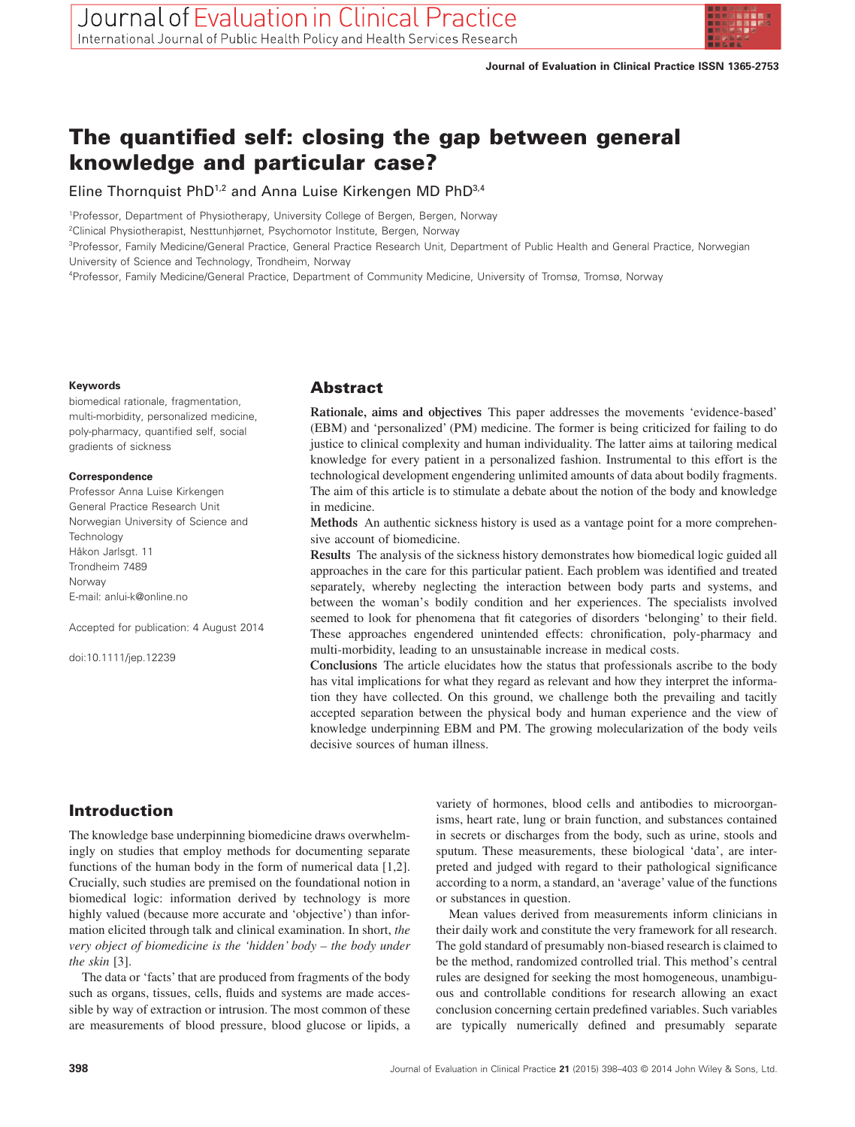

# **The quantified self: closing the gap between general knowledge and particular case?**

Eline Thornquist PhD<sup>1,2</sup> and Anna Luise Kirkengen MD PhD<sup>3,4</sup>

1 Professor, Department of Physiotherapy, University College of Bergen, Bergen, Norway

2 Clinical Physiotherapist, Nesttunhjørnet, Psychomotor Institute, Bergen, Norway

<sup>3</sup>Professor, Family Medicine/General Practice, General Practice Research Unit, Department of Public Health and General Practice, Norwegian University of Science and Technology, Trondheim, Norway

4 Professor, Family Medicine/General Practice, Department of Community Medicine, University of Tromsø, Tromsø, Norway

#### **Keywords**

biomedical rationale, fragmentation, multi-morbidity, personalized medicine, poly-pharmacy, quantified self, social gradients of sickness

#### **Correspondence**

Professor Anna Luise Kirkengen General Practice Research Unit Norwegian University of Science and **Technology** Håkon Jarlsgt. 11 Trondheim 7489 Norway E-mail: [anlui-k@online.no](mailto:anlui-k@online.no)

Accepted for publication: 4 August 2014

doi:10.1111/jep.12239

## **Abstract**

**Rationale, aims and objectives** This paper addresses the movements 'evidence-based' (EBM) and 'personalized' (PM) medicine. The former is being criticized for failing to do justice to clinical complexity and human individuality. The latter aims at tailoring medical knowledge for every patient in a personalized fashion. Instrumental to this effort is the technological development engendering unlimited amounts of data about bodily fragments. The aim of this article is to stimulate a debate about the notion of the body and knowledge in medicine.

**Methods** An authentic sickness history is used as a vantage point for a more comprehensive account of biomedicine.

**Results** The analysis of the sickness history demonstrates how biomedical logic guided all approaches in the care for this particular patient. Each problem was identified and treated separately, whereby neglecting the interaction between body parts and systems, and between the woman's bodily condition and her experiences. The specialists involved seemed to look for phenomena that fit categories of disorders 'belonging' to their field. These approaches engendered unintended effects: chronification, poly-pharmacy and multi-morbidity, leading to an unsustainable increase in medical costs.

**Conclusions** The article elucidates how the status that professionals ascribe to the body has vital implications for what they regard as relevant and how they interpret the information they have collected. On this ground, we challenge both the prevailing and tacitly accepted separation between the physical body and human experience and the view of knowledge underpinning EBM and PM. The growing molecularization of the body veils decisive sources of human illness.

## **Introduction**

The knowledge base underpinning biomedicine draws overwhelmingly on studies that employ methods for documenting separate functions of the human body in the form of numerical data [1,2]. Crucially, such studies are premised on the foundational notion in biomedical logic: information derived by technology is more highly valued (because more accurate and 'objective') than information elicited through talk and clinical examination. In short, *the very object of biomedicine is the 'hidden' body – the body under the skin* [3].

The data or 'facts' that are produced from fragments of the body such as organs, tissues, cells, fluids and systems are made accessible by way of extraction or intrusion. The most common of these are measurements of blood pressure, blood glucose or lipids, a

variety of hormones, blood cells and antibodies to microorganisms, heart rate, lung or brain function, and substances contained in secrets or discharges from the body, such as urine, stools and sputum. These measurements, these biological 'data', are interpreted and judged with regard to their pathological significance according to a norm, a standard, an 'average' value of the functions or substances in question.

Mean values derived from measurements inform clinicians in their daily work and constitute the very framework for all research. The gold standard of presumably non-biased research is claimed to be the method, randomized controlled trial. This method's central rules are designed for seeking the most homogeneous, unambiguous and controllable conditions for research allowing an exact conclusion concerning certain predefined variables. Such variables are typically numerically defined and presumably separate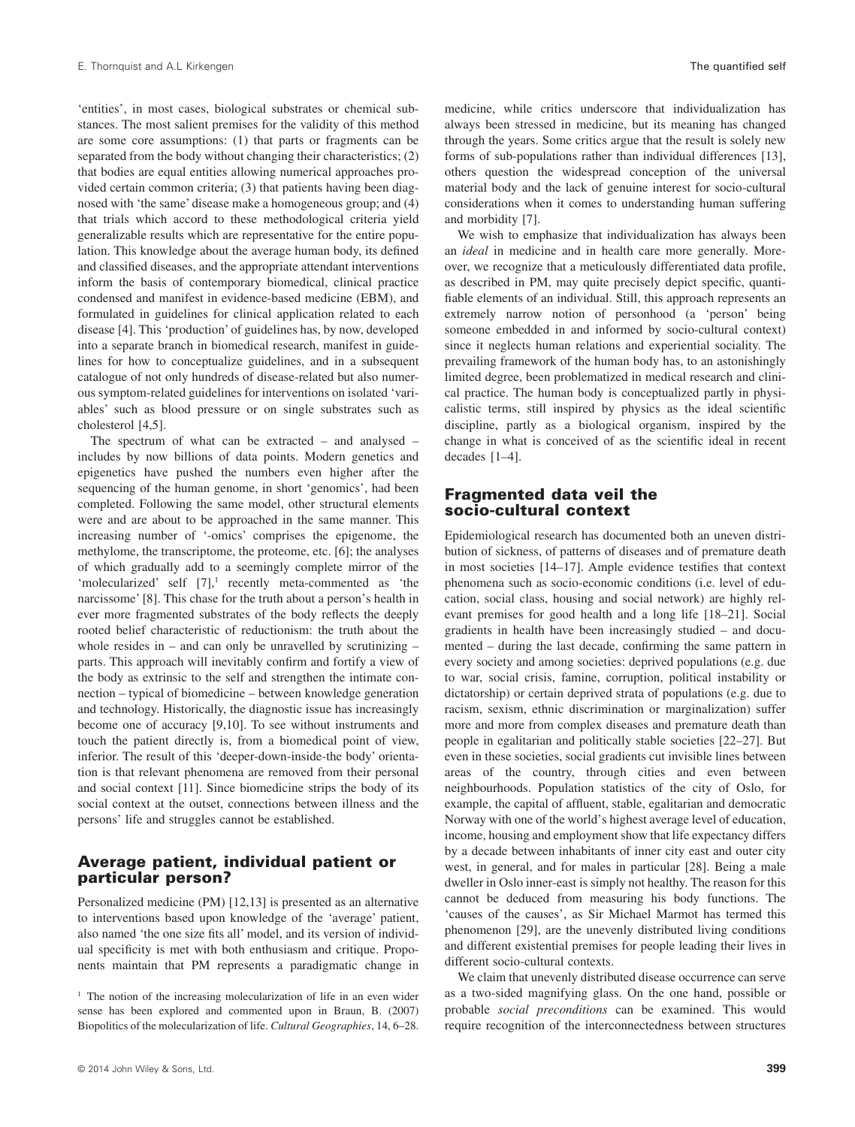'entities', in most cases, biological substrates or chemical substances. The most salient premises for the validity of this method are some core assumptions: (1) that parts or fragments can be separated from the body without changing their characteristics; (2) that bodies are equal entities allowing numerical approaches provided certain common criteria; (3) that patients having been diagnosed with 'the same' disease make a homogeneous group; and (4) that trials which accord to these methodological criteria yield generalizable results which are representative for the entire population. This knowledge about the average human body, its defined and classified diseases, and the appropriate attendant interventions inform the basis of contemporary biomedical, clinical practice condensed and manifest in evidence-based medicine (EBM), and formulated in guidelines for clinical application related to each disease [4]. This 'production' of guidelines has, by now, developed into a separate branch in biomedical research, manifest in guidelines for how to conceptualize guidelines, and in a subsequent catalogue of not only hundreds of disease-related but also numerous symptom-related guidelines for interventions on isolated 'variables' such as blood pressure or on single substrates such as cholesterol [4,5].

The spectrum of what can be extracted – and analysed – includes by now billions of data points. Modern genetics and epigenetics have pushed the numbers even higher after the sequencing of the human genome, in short 'genomics', had been completed. Following the same model, other structural elements were and are about to be approached in the same manner. This increasing number of '-omics' comprises the epigenome, the methylome, the transcriptome, the proteome, etc. [6]; the analyses of which gradually add to a seemingly complete mirror of the 'molecularized' self  $[7]$ ,<sup>1</sup> recently meta-commented as 'the narcissome' [8]. This chase for the truth about a person's health in ever more fragmented substrates of the body reflects the deeply rooted belief characteristic of reductionism: the truth about the whole resides in – and can only be unravelled by scrutinizing – parts. This approach will inevitably confirm and fortify a view of the body as extrinsic to the self and strengthen the intimate connection – typical of biomedicine – between knowledge generation and technology. Historically, the diagnostic issue has increasingly become one of accuracy [9,10]. To see without instruments and touch the patient directly is, from a biomedical point of view, inferior. The result of this 'deeper-down-inside-the body' orientation is that relevant phenomena are removed from their personal and social context [11]. Since biomedicine strips the body of its social context at the outset, connections between illness and the persons' life and struggles cannot be established.

## **Average patient, individual patient or particular person?**

Personalized medicine (PM) [12,13] is presented as an alternative to interventions based upon knowledge of the 'average' patient, also named 'the one size fits all' model, and its version of individual specificity is met with both enthusiasm and critique. Proponents maintain that PM represents a paradigmatic change in

medicine, while critics underscore that individualization has always been stressed in medicine, but its meaning has changed through the years. Some critics argue that the result is solely new forms of sub-populations rather than individual differences [13], others question the widespread conception of the universal material body and the lack of genuine interest for socio-cultural considerations when it comes to understanding human suffering and morbidity [7].

We wish to emphasize that individualization has always been an *ideal* in medicine and in health care more generally. Moreover, we recognize that a meticulously differentiated data profile, as described in PM, may quite precisely depict specific, quantifiable elements of an individual. Still, this approach represents an extremely narrow notion of personhood (a 'person' being someone embedded in and informed by socio-cultural context) since it neglects human relations and experiential sociality. The prevailing framework of the human body has, to an astonishingly limited degree, been problematized in medical research and clinical practice. The human body is conceptualized partly in physicalistic terms, still inspired by physics as the ideal scientific discipline, partly as a biological organism, inspired by the change in what is conceived of as the scientific ideal in recent decades [1–4].

#### **Fragmented data veil the socio-cultural context**

Epidemiological research has documented both an uneven distribution of sickness, of patterns of diseases and of premature death in most societies [14–17]. Ample evidence testifies that context phenomena such as socio-economic conditions (i.e. level of education, social class, housing and social network) are highly relevant premises for good health and a long life [18–21]. Social gradients in health have been increasingly studied – and documented – during the last decade, confirming the same pattern in every society and among societies: deprived populations (e.g. due to war, social crisis, famine, corruption, political instability or dictatorship) or certain deprived strata of populations (e.g. due to racism, sexism, ethnic discrimination or marginalization) suffer more and more from complex diseases and premature death than people in egalitarian and politically stable societies [22–27]. But even in these societies, social gradients cut invisible lines between areas of the country, through cities and even between neighbourhoods. Population statistics of the city of Oslo, for example, the capital of affluent, stable, egalitarian and democratic Norway with one of the world's highest average level of education, income, housing and employment show that life expectancy differs by a decade between inhabitants of inner city east and outer city west, in general, and for males in particular [28]. Being a male dweller in Oslo inner-east is simply not healthy. The reason for this cannot be deduced from measuring his body functions. The 'causes of the causes', as Sir Michael Marmot has termed this phenomenon [29], are the unevenly distributed living conditions and different existential premises for people leading their lives in different socio-cultural contexts.

We claim that unevenly distributed disease occurrence can serve as a two-sided magnifying glass. On the one hand, possible or probable *social preconditions* can be examined. This would require recognition of the interconnectedness between structures

<sup>&</sup>lt;sup>1</sup> The notion of the increasing molecularization of life in an even wider sense has been explored and commented upon in Braun, B. (2007) Biopolitics of the molecularization of life. *Cultural Geographies*, 14, 6–28.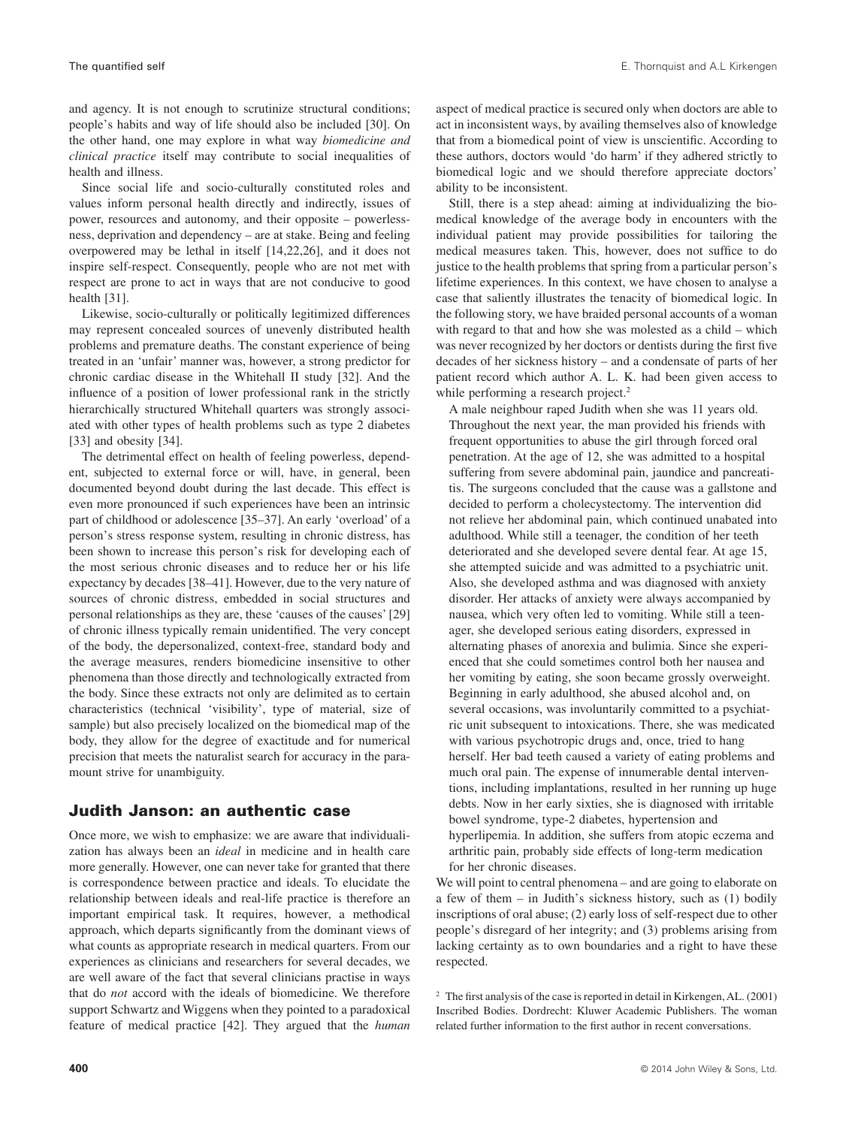and agency. It is not enough to scrutinize structural conditions; people's habits and way of life should also be included [30]. On the other hand, one may explore in what way *biomedicine and clinical practice* itself may contribute to social inequalities of health and illness.

Since social life and socio-culturally constituted roles and values inform personal health directly and indirectly, issues of power, resources and autonomy, and their opposite – powerlessness, deprivation and dependency – are at stake. Being and feeling overpowered may be lethal in itself [14,22,26], and it does not inspire self-respect. Consequently, people who are not met with respect are prone to act in ways that are not conducive to good health [31].

Likewise, socio-culturally or politically legitimized differences may represent concealed sources of unevenly distributed health problems and premature deaths. The constant experience of being treated in an 'unfair' manner was, however, a strong predictor for chronic cardiac disease in the Whitehall II study [32]. And the influence of a position of lower professional rank in the strictly hierarchically structured Whitehall quarters was strongly associated with other types of health problems such as type 2 diabetes [33] and obesity [34].

The detrimental effect on health of feeling powerless, dependent, subjected to external force or will, have, in general, been documented beyond doubt during the last decade. This effect is even more pronounced if such experiences have been an intrinsic part of childhood or adolescence [35–37]. An early 'overload' of a person's stress response system, resulting in chronic distress, has been shown to increase this person's risk for developing each of the most serious chronic diseases and to reduce her or his life expectancy by decades [38–41]. However, due to the very nature of sources of chronic distress, embedded in social structures and personal relationships as they are, these 'causes of the causes' [29] of chronic illness typically remain unidentified. The very concept of the body, the depersonalized, context-free, standard body and the average measures, renders biomedicine insensitive to other phenomena than those directly and technologically extracted from the body. Since these extracts not only are delimited as to certain characteristics (technical 'visibility', type of material, size of sample) but also precisely localized on the biomedical map of the body, they allow for the degree of exactitude and for numerical precision that meets the naturalist search for accuracy in the paramount strive for unambiguity.

#### **Judith Janson: an authentic case**

Once more, we wish to emphasize: we are aware that individualization has always been an *ideal* in medicine and in health care more generally. However, one can never take for granted that there is correspondence between practice and ideals. To elucidate the relationship between ideals and real-life practice is therefore an important empirical task. It requires, however, a methodical approach, which departs significantly from the dominant views of what counts as appropriate research in medical quarters. From our experiences as clinicians and researchers for several decades, we are well aware of the fact that several clinicians practise in ways that do *not* accord with the ideals of biomedicine. We therefore support Schwartz and Wiggens when they pointed to a paradoxical feature of medical practice [42]. They argued that the *human* aspect of medical practice is secured only when doctors are able to act in inconsistent ways, by availing themselves also of knowledge that from a biomedical point of view is unscientific. According to these authors, doctors would 'do harm' if they adhered strictly to biomedical logic and we should therefore appreciate doctors' ability to be inconsistent.

Still, there is a step ahead: aiming at individualizing the biomedical knowledge of the average body in encounters with the individual patient may provide possibilities for tailoring the medical measures taken. This, however, does not suffice to do justice to the health problems that spring from a particular person's lifetime experiences. In this context, we have chosen to analyse a case that saliently illustrates the tenacity of biomedical logic. In the following story, we have braided personal accounts of a woman with regard to that and how she was molested as a child – which was never recognized by her doctors or dentists during the first five decades of her sickness history – and a condensate of parts of her patient record which author A. L. K. had been given access to while performing a research project.<sup>2</sup>

A male neighbour raped Judith when she was 11 years old. Throughout the next year, the man provided his friends with frequent opportunities to abuse the girl through forced oral penetration. At the age of 12, she was admitted to a hospital suffering from severe abdominal pain, jaundice and pancreatitis. The surgeons concluded that the cause was a gallstone and decided to perform a cholecystectomy. The intervention did not relieve her abdominal pain, which continued unabated into adulthood. While still a teenager, the condition of her teeth deteriorated and she developed severe dental fear. At age 15, she attempted suicide and was admitted to a psychiatric unit. Also, she developed asthma and was diagnosed with anxiety disorder. Her attacks of anxiety were always accompanied by nausea, which very often led to vomiting. While still a teenager, she developed serious eating disorders, expressed in alternating phases of anorexia and bulimia. Since she experienced that she could sometimes control both her nausea and her vomiting by eating, she soon became grossly overweight. Beginning in early adulthood, she abused alcohol and, on several occasions, was involuntarily committed to a psychiatric unit subsequent to intoxications. There, she was medicated with various psychotropic drugs and, once, tried to hang herself. Her bad teeth caused a variety of eating problems and much oral pain. The expense of innumerable dental interventions, including implantations, resulted in her running up huge debts. Now in her early sixties, she is diagnosed with irritable bowel syndrome, type-2 diabetes, hypertension and hyperlipemia. In addition, she suffers from atopic eczema and arthritic pain, probably side effects of long-term medication for her chronic diseases.

We will point to central phenomena – and are going to elaborate on a few of them – in Judith's sickness history, such as (1) bodily inscriptions of oral abuse; (2) early loss of self-respect due to other people's disregard of her integrity; and (3) problems arising from lacking certainty as to own boundaries and a right to have these respected.

 $2$  The first analysis of the case is reported in detail in Kirkengen, AL. (2001) Inscribed Bodies. Dordrecht: Kluwer Academic Publishers. The woman related further information to the first author in recent conversations.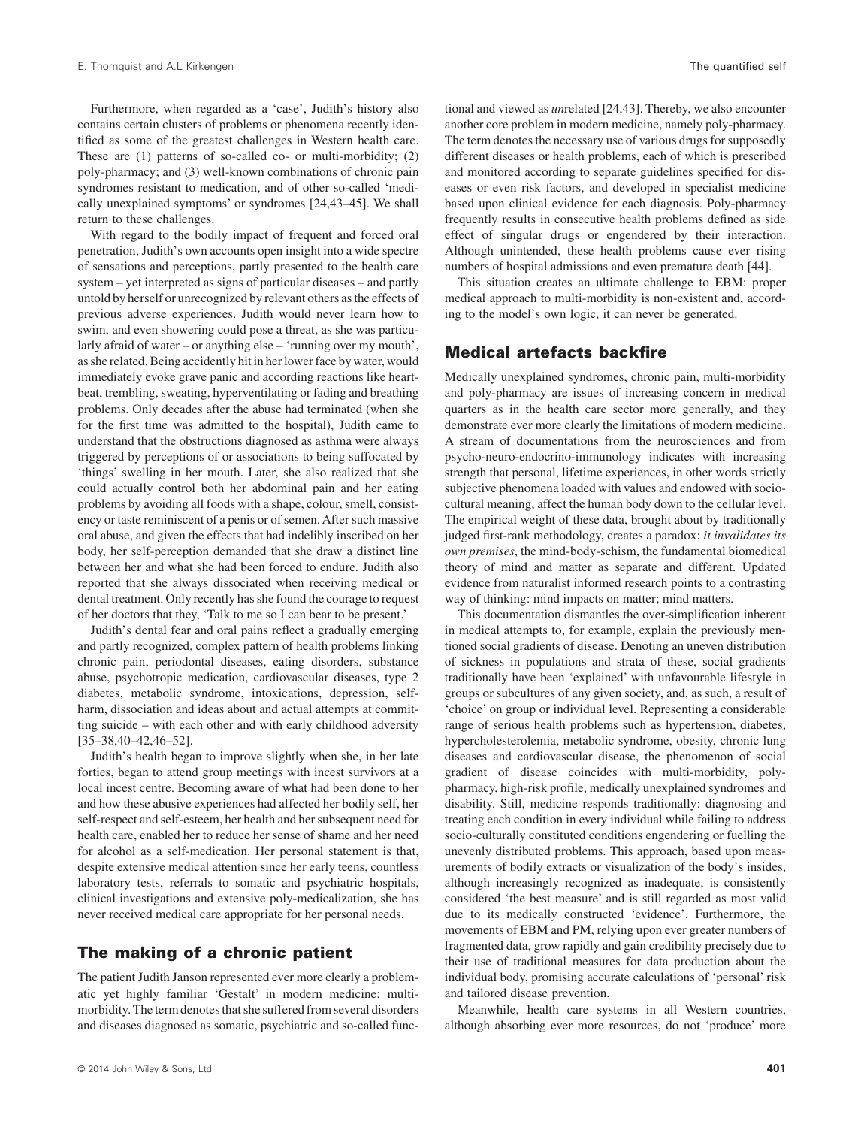Furthermore, when regarded as a 'case', Judith's history also contains certain clusters of problems or phenomena recently identified as some of the greatest challenges in Western health care. These are (1) patterns of so-called co- or multi-morbidity; (2) poly-pharmacy; and (3) well-known combinations of chronic pain syndromes resistant to medication, and of other so-called 'medically unexplained symptoms' or syndromes [24,43–45]. We shall return to these challenges.

With regard to the bodily impact of frequent and forced oral penetration, Judith's own accounts open insight into a wide spectre of sensations and perceptions, partly presented to the health care system – yet interpreted as signs of particular diseases – and partly untold by herself or unrecognized by relevant others as the effects of previous adverse experiences. Judith would never learn how to swim, and even showering could pose a threat, as she was particularly afraid of water – or anything else – 'running over my mouth', as she related. Being accidently hit in her lower face by water, would immediately evoke grave panic and according reactions like heartbeat, trembling, sweating, hyperventilating or fading and breathing problems. Only decades after the abuse had terminated (when she for the first time was admitted to the hospital), Judith came to understand that the obstructions diagnosed as asthma were always triggered by perceptions of or associations to being suffocated by 'things' swelling in her mouth. Later, she also realized that she could actually control both her abdominal pain and her eating problems by avoiding all foods with a shape, colour, smell, consistency or taste reminiscent of a penis or of semen. After such massive oral abuse, and given the effects that had indelibly inscribed on her body, her self-perception demanded that she draw a distinct line between her and what she had been forced to endure. Judith also reported that she always dissociated when receiving medical or dental treatment. Only recently has she found the courage to request of her doctors that they, 'Talk to me so I can bear to be present.'

Judith's dental fear and oral pains reflect a gradually emerging and partly recognized, complex pattern of health problems linking chronic pain, periodontal diseases, eating disorders, substance abuse, psychotropic medication, cardiovascular diseases, type 2 diabetes, metabolic syndrome, intoxications, depression, selfharm, dissociation and ideas about and actual attempts at committing suicide – with each other and with early childhood adversity [35–38,40–42,46–52].

Judith's health began to improve slightly when she, in her late forties, began to attend group meetings with incest survivors at a local incest centre. Becoming aware of what had been done to her and how these abusive experiences had affected her bodily self, her self-respect and self-esteem, her health and her subsequent need for health care, enabled her to reduce her sense of shame and her need for alcohol as a self-medication. Her personal statement is that, despite extensive medical attention since her early teens, countless laboratory tests, referrals to somatic and psychiatric hospitals, clinical investigations and extensive poly-medicalization, she has never received medical care appropriate for her personal needs.

#### **The making of a chronic patient**

The patient Judith Janson represented ever more clearly a problematic yet highly familiar 'Gestalt' in modern medicine: multimorbidity. The term denotes that she suffered from several disorders and diseases diagnosed as somatic, psychiatric and so-called functional and viewed as *un*related [24,43]. Thereby, we also encounter another core problem in modern medicine, namely poly-pharmacy. The term denotes the necessary use of various drugs for supposedly different diseases or health problems, each of which is prescribed and monitored according to separate guidelines specified for diseases or even risk factors, and developed in specialist medicine based upon clinical evidence for each diagnosis. Poly-pharmacy frequently results in consecutive health problems defined as side effect of singular drugs or engendered by their interaction. Although unintended, these health problems cause ever rising numbers of hospital admissions and even premature death [44].

This situation creates an ultimate challenge to EBM: proper medical approach to multi-morbidity is non-existent and, according to the model's own logic, it can never be generated.

#### **Medical artefacts backfire**

Medically unexplained syndromes, chronic pain, multi-morbidity and poly-pharmacy are issues of increasing concern in medical quarters as in the health care sector more generally, and they demonstrate ever more clearly the limitations of modern medicine. A stream of documentations from the neurosciences and from psycho-neuro-endocrino-immunology indicates with increasing strength that personal, lifetime experiences, in other words strictly subjective phenomena loaded with values and endowed with sociocultural meaning, affect the human body down to the cellular level. The empirical weight of these data, brought about by traditionally judged first-rank methodology, creates a paradox: *it invalidates its own premises*, the mind-body-schism, the fundamental biomedical theory of mind and matter as separate and different. Updated evidence from naturalist informed research points to a contrasting way of thinking: mind impacts on matter; mind matters.

This documentation dismantles the over-simplification inherent in medical attempts to, for example, explain the previously mentioned social gradients of disease. Denoting an uneven distribution of sickness in populations and strata of these, social gradients traditionally have been 'explained' with unfavourable lifestyle in groups or subcultures of any given society, and, as such, a result of 'choice' on group or individual level. Representing a considerable range of serious health problems such as hypertension, diabetes, hypercholesterolemia, metabolic syndrome, obesity, chronic lung diseases and cardiovascular disease, the phenomenon of social gradient of disease coincides with multi-morbidity, polypharmacy, high-risk profile, medically unexplained syndromes and disability. Still, medicine responds traditionally: diagnosing and treating each condition in every individual while failing to address socio-culturally constituted conditions engendering or fuelling the unevenly distributed problems. This approach, based upon measurements of bodily extracts or visualization of the body's insides, although increasingly recognized as inadequate, is consistently considered 'the best measure' and is still regarded as most valid due to its medically constructed 'evidence'. Furthermore, the movements of EBM and PM, relying upon ever greater numbers of fragmented data, grow rapidly and gain credibility precisely due to their use of traditional measures for data production about the individual body, promising accurate calculations of 'personal' risk and tailored disease prevention.

Meanwhile, health care systems in all Western countries, although absorbing ever more resources, do not 'produce' more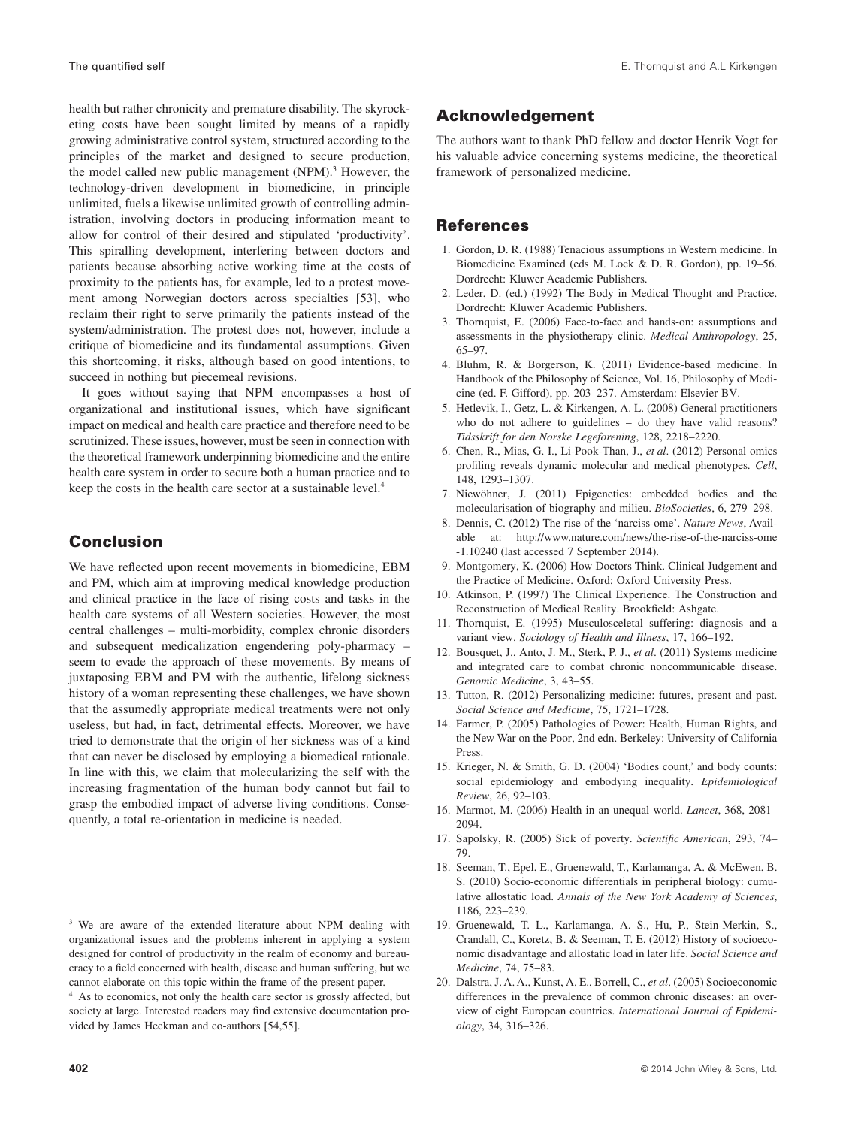health but rather chronicity and premature disability. The skyrocketing costs have been sought limited by means of a rapidly growing administrative control system, structured according to the principles of the market and designed to secure production, the model called new public management  $(NPM)$ .<sup>3</sup> However, the technology-driven development in biomedicine, in principle unlimited, fuels a likewise unlimited growth of controlling administration, involving doctors in producing information meant to allow for control of their desired and stipulated 'productivity'. This spiralling development, interfering between doctors and patients because absorbing active working time at the costs of proximity to the patients has, for example, led to a protest movement among Norwegian doctors across specialties [53], who reclaim their right to serve primarily the patients instead of the system/administration. The protest does not, however, include a critique of biomedicine and its fundamental assumptions. Given this shortcoming, it risks, although based on good intentions, to succeed in nothing but piecemeal revisions.

It goes without saying that NPM encompasses a host of organizational and institutional issues, which have significant impact on medical and health care practice and therefore need to be scrutinized. These issues, however, must be seen in connection with the theoretical framework underpinning biomedicine and the entire health care system in order to secure both a human practice and to keep the costs in the health care sector at a sustainable level.4

# **Conclusion**

We have reflected upon recent movements in biomedicine, EBM and PM, which aim at improving medical knowledge production and clinical practice in the face of rising costs and tasks in the health care systems of all Western societies. However, the most central challenges – multi-morbidity, complex chronic disorders and subsequent medicalization engendering poly-pharmacy – seem to evade the approach of these movements. By means of juxtaposing EBM and PM with the authentic, lifelong sickness history of a woman representing these challenges, we have shown that the assumedly appropriate medical treatments were not only useless, but had, in fact, detrimental effects. Moreover, we have tried to demonstrate that the origin of her sickness was of a kind that can never be disclosed by employing a biomedical rationale. In line with this, we claim that molecularizing the self with the increasing fragmentation of the human body cannot but fail to grasp the embodied impact of adverse living conditions. Consequently, a total re-orientation in medicine is needed.

<sup>3</sup> We are aware of the extended literature about NPM dealing with organizational issues and the problems inherent in applying a system designed for control of productivity in the realm of economy and bureaucracy to a field concerned with health, disease and human suffering, but we cannot elaborate on this topic within the frame of the present paper.

As to economics, not only the health care sector is grossly affected, but society at large. Interested readers may find extensive documentation provided by James Heckman and co-authors [54,55].

## **Acknowledgement**

The authors want to thank PhD fellow and doctor Henrik Vogt for his valuable advice concerning systems medicine, the theoretical framework of personalized medicine.

## **References**

- 1. Gordon, D. R. (1988) Tenacious assumptions in Western medicine. In Biomedicine Examined (eds M. Lock & D. R. Gordon), pp. 19–56. Dordrecht: Kluwer Academic Publishers.
- 2. Leder, D. (ed.) (1992) The Body in Medical Thought and Practice. Dordrecht: Kluwer Academic Publishers.
- 3. Thornquist, E. (2006) Face-to-face and hands-on: assumptions and assessments in the physiotherapy clinic. *Medical Anthropology*, 25, 65–97.
- 4. Bluhm, R. & Borgerson, K. (2011) Evidence-based medicine. In Handbook of the Philosophy of Science, Vol. 16, Philosophy of Medicine (ed. F. Gifford), pp. 203–237. Amsterdam: Elsevier BV.
- 5. Hetlevik, I., Getz, L. & Kirkengen, A. L. (2008) General practitioners who do not adhere to guidelines – do they have valid reasons? *Tidsskrift for den Norske Legeforening*, 128, 2218–2220.
- 6. Chen, R., Mias, G. I., Li-Pook-Than, J., *et al*. (2012) Personal omics profiling reveals dynamic molecular and medical phenotypes. *Cell*, 148, 1293–1307.
- 7. Niewöhner, J. (2011) Epigenetics: embedded bodies and the molecularisation of biography and milieu. *BioSocieties*, 6, 279–298.
- 8. Dennis, C. (2012) The rise of the 'narciss-ome'. *Nature News*, Available at: [http://www.nature.com/news/the-rise-of-the-narciss-ome](http://www.nature.com/news/the-rise-of-the-narciss-ome-1.10240) [-1.10240](http://www.nature.com/news/the-rise-of-the-narciss-ome-1.10240) (last accessed 7 September 2014).
- 9. Montgomery, K. (2006) How Doctors Think. Clinical Judgement and the Practice of Medicine. Oxford: Oxford University Press.
- 10. Atkinson, P. (1997) The Clinical Experience. The Construction and Reconstruction of Medical Reality. Brookfield: Ashgate.
- 11. Thornquist, E. (1995) Musculosceletal suffering: diagnosis and a variant view. *Sociology of Health and Illness*, 17, 166–192.
- 12. Bousquet, J., Anto, J. M., Sterk, P. J., *et al*. (2011) Systems medicine and integrated care to combat chronic noncommunicable disease. *Genomic Medicine*, 3, 43–55.
- 13. Tutton, R. (2012) Personalizing medicine: futures, present and past. *Social Science and Medicine*, 75, 1721–1728.
- 14. Farmer, P. (2005) Pathologies of Power: Health, Human Rights, and the New War on the Poor, 2nd edn. Berkeley: University of California Press.
- 15. Krieger, N. & Smith, G. D. (2004) 'Bodies count,' and body counts: social epidemiology and embodying inequality. *Epidemiological Review*, 26, 92–103.
- 16. Marmot, M. (2006) Health in an unequal world. *Lancet*, 368, 2081– 2094.
- 17. Sapolsky, R. (2005) Sick of poverty. *Scientific American*, 293, 74– 79.
- 18. Seeman, T., Epel, E., Gruenewald, T., Karlamanga, A. & McEwen, B. S. (2010) Socio-economic differentials in peripheral biology: cumulative allostatic load. *Annals of the New York Academy of Sciences*, 1186, 223–239.
- 19. Gruenewald, T. L., Karlamanga, A. S., Hu, P., Stein-Merkin, S., Crandall, C., Koretz, B. & Seeman, T. E. (2012) History of socioeconomic disadvantage and allostatic load in later life. *Social Science and Medicine*, 74, 75–83.
- 20. Dalstra, J. A. A., Kunst, A. E., Borrell, C., *et al*. (2005) Socioeconomic differences in the prevalence of common chronic diseases: an overview of eight European countries. *International Journal of Epidemiology*, 34, 316–326.